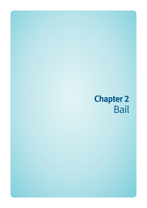# **Chapter 2**  Bail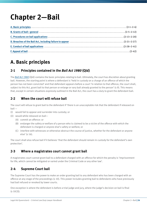## **Chapter 2—Bail**

## **A. Basic principles**

#### **2-1 Principles contained in the** *Bail Act 1980* **(Qld)**

The *[Bail Act 1980](http://www.legislation.qld.gov.au/LEGISLTN/CURRENT/B/BailA80.pdf)* (Qld) contains the basic principles relating to bail. Ultimately, the court has discretion about granting bail. However, the starting point is where a defendant is 'held in custody on a charge of an offence of which the person has not been convicted' and that defendant appears before a court 'in relation to that offence, the court shall, subject to this Act, grant bail to that person or enlarge or vary bail already granted to the person' (s 9). This means that, except in certain situations expressly outlined in the Bail Act, the court has a duty to grant the defendant bail.

#### **2-2 When the court will refuse bail**

The court will refuse to grant bail to the defendant if 'there is an unacceptable risk that the defendant if released on bail —

- (i) would fail to appear and surrender into custody; or
- (ii) would while released on bail—
	- (A) commit an offence: or
	- (B) endanger the safety or welfare of a person who is claimed to be a victim of the offence with which the defendant is charged or anyone else's safety or welfare; or
	- (C) interfere with witnesses or otherwise obstruct the course of justice, whether for the defendant or anyone else' (s 16).

The court shall also refuse bail if it believes 'that the defendant should remain in custody for the defendant's own protection'.

#### **2-3 Where a magistrates court cannot grant bail**

A magistrates court cannot grant bail to a defendant charged with an offence for which the penalty is 'imprisonment for life, which cannot be mitigated or varied under the Criminal Code or any other law'.

#### **2-4 Supreme Court bail**

The Supreme Court has the power to make an order granting bail to any defendant who has been charged with an offence at any stage of the proceedings (s 10). This power includes granting bail to defendants who have previously had bail refused or revoked by lower courts.

One exception is where the defendant is before a trial judge and jury, where the judge's decision on bail is final  $(s 10(3))$ .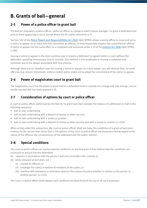## **B. Grants of bail—general**

#### **2-5 Power of a police officer to grant bail**

The Bail Act empowers a police officer—either an officer-in-charge or watch-house manager—to grant a defendant bail prior to them appearing in court, except where the Act states otherwise (s 7).

Section 382 of the *[Police Powers and Responsibilities Act 2000](http://www.legislation.qld.gov.au/LEGISLTN/CURRENT/P/PolicePowResA00.pdf)* (Qld) (PPRA) allows a police officer to issue and serve a notice to appear on an adult who has committed an offence, or they reasonably suspect has committed an offence. A notice to appear has the same effect as a complaint and summons under s 53 of the *[Justices Act 1886](http://www.legislation.qld.gov.au/LEGISLTN/CURRENT/J/JusticeA1886.pdf)* (Qld) (PPRA, s 388).

Issuing a notice to appear is the most common way to require a defendant to appear before a court without the defendant spending unnecessary time in custody. This method is also preferable to issuing a complaint and summons due to the delays associated with that process.

Although there are no steadfast rules for issuing a notice to appear, as a duty lawyer, you will observe that, for some offences (e.g. breach of domestic violence order), police prefer not to adopt the convenience of the notice to appear.

#### **2-6 Power of magistrates court to grant bail**

The magistrates court has the power to grant bail to a defendant held in custody on a charge and may enlarge, vary or revoke any bail that has been granted (s 8).

#### **2-7 Consideration of options by court or police officer**

A court or police officer authorised by the Bail Act to grant bail shall consider the release of a defendant on bail in the following sequence:

- bail on own undertaking
- bail on own undertaking with a deposit of money or other security
- bail on own undertaking with a surety or sureties
- bail on own undertaking with a deposit of money or other security and with a surety or sureties (s 11(1)).

When acting under this subsection, the court or police officer 'shall not make the conditions of a grant of bail more onerous for the person than those that in the opinion of the court or police officer are necessary having regard to the nature of the offence, the circumstances of the defendant and the public interest'.

#### **2-8 Special conditions**

The court or police officer can impose special conditions on any bail grant if they believe that the conditions are necessary to ensure that the defendant:

- (a) 'appears in accordance with the person's bail and surrenders into custody; or
- (b) while released on bail does not
	- (i) commit an offence; or
	- (ii) endanger the safety or welfare of members of the public; or
	- (iii) interfere with witnesses or otherwise obstruct the course of justice whether in relation to the person or another person' (s 11(2)).

The 'court or police officer shall impose such conditions as [they think] fit for any or all such purposes'.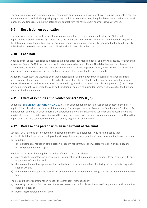The same qualifications regarding onerous conditions apply as referred to in 2-7 above. The power under this section is a wide one and can include imposing reporting conditions, conditions requiring the defendant to reside at a certain place, or conditions restraining the defendant's contact with the complainant or other Crown witnesses.

#### **2-9 Restriction on publication**

The court can restrict the publication of information or evidence given in a bail application (s 12). If a bail application is opposed in the magistrates court, the prosecutor may lead certain information that could prejudice the determination of the matter. This can occur particularly when a matter is highly publicised or likely to be highly publicised. In these circumstances, an application should be made under s 12.

#### **2-10 Cash bail**

A police officer or court can release a defendant on bail after they make a deposit of money as security for appearing in court (ss 14 and 14A) if the charge is not indictable or a scheduled offence. The defendant and duty lawyer should view this form of bail as the same as other forms of bail. The deposit of money is security for the defendant's appearance before a court on the day, and at a time and place, provided to the defendant.

Although, historically, the view has been that a defendant's failure to appear when cash bail has been granted merely renders the deposit forfeited with no further punishment, you should neither encourage nor offer this as advice. The court can still issue warrants if a cash bail is granted and a defendant fails to appear (s 14(10)). Always advise a defendant to adhere to the cash bail conditions—namely, to surrender themselves to court at the time and place outlined in the notice.

#### **2-11 Effect of** *Penalties and Sentences Act 1992* **(Qld)**

Under the *[Penalties and Sentences Act 1992](http://www.legislation.qld.gov.au/LEGISLTN/CURRENT/P/PenaltASenA92.pdf)* (Qld), if an offender has breached a suspended sentence, the Bail Act applies if that offender is not dealt with immediately. For example, under s 146(4) of the Penalties and Sentences Act, if a defendant commits an offence during the operational period of a suspended sentence and appears before the magistrates court, if a higher court imposed the suspended sentence, the magistrate must remand the matter to that higher court and may commit the offender to custody or grant the offender bail.

#### **2-12 Release of a person with an impairment of the mind**

Section 11A(7) defines an 'intellectually impaired defendant' as a defendant 'who has a disability that—

- (a) is attributable to an intellectual, psychiatric, cognitive or neurological impairment or a combination of these; and (b) results in—
	- (i) a substantial reduction of the person's capacity for communication, social interaction or learning; and
	- (ii) the person needing support.

Section 11A of the Bail Act applies if a police officer or court 'considers—

- (a) a person held in custody on a charge of or in connection with an offence is, or appears to be, a person with an impairment of the mind; and
- (b) the person does not, or appears not to, understand the nature and effect of entering into an undertaking under section 20; and
- (c) if the person understood the nature and effect of entering into the undertaking, the person would be released on bail'.

The police officer or court may then release the defendant 'without bail by—

- (a) releasing the person into the care of another person who ordinarily has the care of the person or with whom the person resides; or
- (b) permitting the person to go at large'.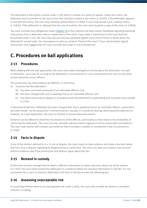The defendant is then given a notice under s 11B, which is similar to a notice to appear. Under this notice, the defendant must surrender to the court at the time and place stated in the notice (s 11A(3)). If the defendant appears in line with the notice, the court may similarly release them  $(s 11A(4))$ . A court may revoke such a release notice (s 11A(5)). If the defendant is released into the care of another, the carer must be given a copy of the notice (s 11B(4)).

You must consider your obligations under Chapter 14 of the *Criminal Law Duty Lawyer Handbook* regarding obtaining instructions from a defendant with an impairment of the mind. If you make a submission to the court that bail be granted under s 11A, the court may ask you how you obtained signed instructions if there is doubt about the defendant's mental state. You may appear as amicus curiae or 'friend of the court' if you cannot obtain signed instructions and suggest that the court consider bail under s 11A of the Bail Act.

## **C. Procedures on bail applications**

#### **2-13 Procedures**

When dealing with the bail application, the court may make investigations of and about the defendant—on oath or otherwise—as it sees fit, as long as the defendant is not examined or cross-examined by the court or any other person about the actual offence.

The prosecutor may lead evidence by affidavit, or otherwise:

- (i) 'to prove that the defendant—
	- (A) has been convicted previously of an indictable offence; and
	- (B) has been charged with and is awaiting trial on an indictable offence; and
	- (C) has failed previously to appear in accordance with the defendant's undertaking and surrender into custody'  $(s 15(1)).$

In demonstrating that a defendant has been charged with and is awaiting trial on an indictable offence, prosecutors will often tender 'not for production' criminal histories. Usually, in a sentence hearing, these would be objected to; however, on a bail application, the court is entitled to receive these documents.

Evidence can be offered to show the circumstances of the offence, particularly as they relate to the probability of convicting the defendant. The court can also consider relevant matters agreed on by the prosecution and defence. The court may receive and consider any evidence that it considers credible or trustworthy in the circumstances  $(s 15(e))$ .

#### **2-14 Facts in dispute**

If any of the matters referred to in s 15 are in dispute, the court needs to take evidence and make a decision about that fact, (e.g. a dispute regarding an alleged previous conviction). The court can take such matters into account without evidence only if the prosecution and defence agree about the fact.

#### **2-15 Remand in custody**

If there has not been enough time to obtain sufficient information to make a decision about any of the matters in s 16(1), the court shall remand the defendant in custody to obtain the required information (s  $16(1)$ ). It is not uncommon for a court to remand a defendant until later in the day or even the following day.

#### **2-16 Assessing unacceptable risk**

In assessing whether there is an unacceptable risk under s 16(1), the court will consider all matters it considers relevant, including: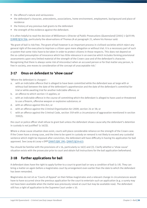- the offence's nature and seriousness
- the defendant's character, antecedents, associations, home environment, employment, background and place of residence
- the history of any previous bail grants to the defendant
- the strength of the evidence against the defendant.

It is often helpful to read the decision of *Williamson v Director of Public Prosecutions (Queensland)* [2001] 1 Qd R 99; [\[1999\] QCA 356](http://archive.sclqld.org.au/qjudgment/1999/QCA99-356.pdf), particularly the observations of Thomas JA at paragraph 21, where his Honour said:

'No grant of bail is risk-free. The grant of bail however is an important process in civilised societies which reject any general right of the executive to imprison a citizen upon mere allegation or without trial. It is a necessary part of such a system that some risks have to be taken in order to protect citizens in those respects. This does not depend on the so-called presumption of innocence which has little relevance in an exercise which includes forming provisional assessments upon very limited material of the strength of the Crown case and of the defendant's character. Recognising that there is always some risk of misconduct when an accused person or for that matter any person, is free in society, one moves to consideration of the concept of unacceptable risk.'

#### **2-17 Onus on defendant to 'show cause'**

'Where the defendant is charged—

- a. with an indictable offence that is alleged to have been committed while the defendant was at large with or without bail between the date of the defendant's apprehension and the date of the defendant's committal for trial or while awaiting trial for another indictable offence; or
- b. an offence to which section 13 applies; or
- c. with an indictable offence in the course of committing which the defendant is alleged to have used or threatened to use a firearm, offensive weapon or explosive substance; or
- d. with an offence against this Act; or
- e. with an offence against the *Criminal Organisation Act 2009*, section 24 or 38; or
- f. with an offence against the Criminal Code, section 359 with a circumstance of aggravation mentioned in section 359(2);

the court or police officer shall refuse to grant bail unless the defendant shows cause why the defendant's detention in custody is not justified' (s 16(3)).

Where a show cause situation does exist, courts will place considerable reliance on the strength of the Crown case. If the Crown have a strong case, and the time to be spent in custody on remand is not likely to exceed any custodial sentence which might be imposed after conviction, the defendant will have difficulty in having his application for bail approved. See *Lacey & Lacey v DPP* [\[2007\] QSC 291](http://archive.sclqld.org.au/qjudgment/2007/QSC07-291.pdf); [\[2007\] QCA 413](http://archive.sclqld.org.au/qjudgment/2007/QCA07-413.pdf).

You should be familiar with the provisions of s 16, particularly ss 16(1) and (3). Clarify whether a 'show cause' situation exists with the prosecutor prior to court and obtain full instructions for the bail application beforehand.

#### **2-18 Further applications for bail**

A defendant does have the right to apply further to a court to grant bail or vary a condition of bail (s 19). They can bring a matter on again before a magistrates court by arrangement even earlier than the date to which the defendant has been remanded.

Magistrates do not sit as 'Courts of Appeal' on their fellow magistrates and a relevant change in circumstances would have to have occurred since the previous application for the court to entertain such an application (e.g. a surety may not have been available when the matter was previously raised at court but may be available now). The defendant still has a right of application to the Supreme Court under s 10.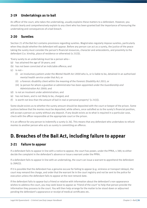#### **2-19 Undertakings as to bail**

An officer of the court, who takes the undertaking, usually explains these matters to a defendant. However, you should clearly and comprehensively explain to any client who has been granted bail the importance of honouring the undertaking and consequences of a bail breach.

#### **2-20 Sureties**

Section 21 of the Bail Act contains provisions regarding sureties. Magistrates regularly impose sureties, particularly when they doubt whether the defendant will appear. Before any person can act as a surety, the justice of the peace taking the surety must consider the person's financial resources, character and antecedents, and proximity to the defendant (i.e. kinship, place of residence or otherwise) (s 21(3)).

'Every surety to an undertaking must be a person who—

- (a) has attained the age of 18 years; and
- (b) has not been convicted of an indictable offence; and
- $(c)$  is not-
	- (i) an involuntary patient under the *Mental Health Act 2000* who is, or is liable to be, detained in an authorised mental health service under that Act; or
	- (ii) a forensic disability client within the meaning of the *Forensic Disability Act 2011*; or
	- (iii) (a person for whom a guardian or administrator has been appointed under the *Guardianship and Administration Act 2000*; and
- (d) is not an insolvent under administration; and
- (e) has not been, and is not likely to be, charged; and
- (f) is worth not less than the amount of bail in real or personal property' (s  $21(1)$ ).

Some doubt exists as to whether the surety amount should be deposited with the court or keeper of the prison. Some justices believe that the monies must be deposited, while others, once satisfied as to the surety's financial position, will accept a person as surety without any deposit. If any doubt exists as to what is required in a particular case, check with the officer responsible at the appropriate court or the prison.

It is an offence for any person to indemnify a surety (s 26). This means that any defendant who undertakes to refund monies to another person who acts as surety is committing an offence.

## **D. Breaches of the Bail Act, including failure to appear**

#### **2-21 Failure to appear**

If a defendant fails to appear in line with a notice to appear, the court has power, under the PPRA, s 389, to either decide the complaint in the defendant's absence or issue a warrant under the PPRA.

If a defendant fails to appear in line with an undertaking, the court can issue a warrant to apprehend the defendant  $(s 28A(1)).$ 

If it is possible that the defendant has a genuine excuse for failing to appear (e.g. sickness or transport delays), the court may remand the charge, and order that the warrant lie in the court registry and not be sent to the police for execution unless the defendant fails to appear at the next remand date.

If the defendant fails to appear but a friend or relative with information about the defendant's non-appearance wishes to address the court, you may seek leave to appear as 'friend of the court' to help that person provide the information they possess to the court. You will then help arrange for the matter to be stood down or adjourned pending the defendant's appearance or receipt of medical certificates etc.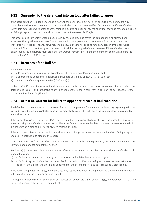#### **2-22 Surrender by the defendant into custody after failing to appear**

If the defendant has failed to appear and a warrant has been issued but not been executed, the defendant may surrender into the court's custody as soon as practicable after the time specified for appearance. If the defendant surrenders before the warrant for apprehension is executed and can satisfy the court that they had reasonable cause for failing to appear, the court can withdraw and cancel the warrant (s 28A(2)).

This procedure is convenient when a genuine delay has occurred and saves the defendant being arrested and processed through the watch-house for a subsequent court appearance. It can also avoid a conviction for breach of the Bail Act. If the defendant shows reasonable cause, the matter ends as far as any breach of the Bail Act is concerned. The court can then grant the defendant bail for the original offence. However, if the defendant cannot 'show cause', the magistrate must order that the warrant remain in force and the defendant be brought before the court under s 33 (see 2-23 below).

#### **2-23 Breaches of the Bail Act**

'A defendant who—

- (a) fails to surrender into custody in accordance with the defendant's undertaking; and
- (b) is apprehended under a warrant issued pursuant to section 28 or 28A(1)(a), (b), (c) or (e);
- (c) commits an offence against [the Bail] Act' (s 33(1)).

Under s 33(4), if a court imposes an imprisonment term, the jail term is cumulative to any other jail term to which the defendant is subject, and cumulative to any imprisonment term that a court may impose on the defendant after the commitment for breaching the Act.

#### **2-24 Arrest on warrant for failure to appear or breach of bail condition**

If a defendant has been arrested on a warrant for failing to appear and/or honour an undertaking regarding bail, they will be brought before a magistrates court in the magistrates court district where the defendant was apprehended under the warrant.

If the warrant was issued under the PPRA, the defendant has not committed any offence—the warrant was simply a means to bring the defendant before a court. The issue for you is whether the defendant wants the court to deal with the charge/s on a plea of guilty or apply for a remand and bail.

If the warrant was issued under the Bail Act, the court will charge the defendant from the bench for failing to appear and ask the defendant to plead to the charge.

Note: Under s 33(3A), 'the court shall then and there call on the defendant to prove why the defendant should not be convicted of an offence against this section'.

Section 33(2) states that it 'is a defence to [the] offence…if the defendant satisfies the court that the defendant had reasonable cause—

- (a) for failing to surrender into custody in accordance with the defendant's undertaking; and
- (b) for failing to appear before the court specified in the defendant's undertaking and surrender into custody as soon after the time for the time being appointed for the defendant to do so as is reasonably practicable'.

If the defendant pleads not guilty, the magistrate may set the matter for hearing or remand the defendant for hearing at the court from which the warrant was issued.

The magistrate would then again consider an application for bail; although, under s 16(3), the defendant is in a 'show cause' situation in relation to the bail application.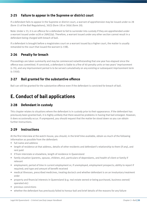#### **2-25 Failure to appear in the Supreme or district court**

If a defendant fails to appear in the Supreme or district court, a warrant of apprehension may be issued under ss 28 (form 15 of the Bail Regulations), 30(3) (form 19) or 30(4) (form 20).

Note: Under s 33, it is an offence for a defendant to fail to surrender into custody if they are apprehended under a warrant issued under ss28 or 28A(1)(a). Therefore, a warrant issued under any other section cannot result in a defendant being charged with breach of bail.

If a defendant is brought before a magistrates court on a warrant issued by a higher court, the matter is usually remanded to the court that issued the warrant (s 33B).

#### **2-26 Penalty for breach**

Proceedings are taken summarily and may be commenced notwithstanding that one year has elapsed since the offence was committed. If convicted, a defendant is liable to a fine of 40 penalty units or two years' imprisonment (s 35), and any imprisonment period is to be served cumulatively on any existing or subsequent imprisonment term  $(s 33(4))$ .

#### **2-27 Bail granted for the substantive offence**

Bail can still be granted for the substantive offence even if the defendant is convicted for breach of bail.

### **E. Conduct of bail applications**

#### **2-28 Defendant in custody**

This chapter relates to situations where the defendant is in custody prior to their appearance. If the defendant has previously been granted bail, it is highly unlikely that there would be problems in having that bail enlarged. However, it does occasionally occur. If unprepared, you should request that the matter be stood down so you can obtain further instructions.

#### **2-29 Instructions**

At the first interview at the watch-house, you should, in the brief time available, obtain as much of the following information as possible from the defendant:

- full name and address
- length of residence at that address, details of other residents and defendant's relationship to them (if any), and rent paid
- if from interstate or elsewhere, length of residence in Queensland
- family situation (parents, spouse, children, etc), particulars of dependants, and health of client or family if relevant
- employment; period of time in current employment or, if unemployed, employment prospects; ability to report if required; and type and amount of benefit received
- medical illnesses, prescribed medicines, treating doctor/s and whether defendant is on an involuntary treatment order
- property and financial interests in Queensland (e.g. real estate owned or being purchased, business owned/ operated etc)
- previous convictions
- whether the defendant has previously failed to honour bail and brief details of the reasons for any failure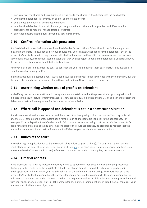- particulars of the charge and circumstances giving rise to the charge (without going into too much detail)
- whether the defendant is currently on bail for an indictable offence
- availability and details of any surety or sureties
- whether the defendant has an alcohol and/or drug addiction or other medical problem and, if so, whether arrangements be made for rehabilitation or treatment
- any other matters that the duty lawyer may consider relevant.

#### **2-30 Confirm information with prosecutor**

It is inadvisable to accept without question all a defendant's instructions. Often, they do not include important matters in the instructions, such as previous convictions. Before actually appearing for the defendant, check the prosecutor's attitude to bail. If they oppose bail, clarify all relevant matters with the prosecutor such as previous convictions. Usually, if the prosecutor indicates that they will not object to bail on the defendant's undertaking, you do not need to obtain any further detailed instructions.

However, bail is still a matter for the court to consider and you should have at least basic instructions available in case the court raises any matter.

If a magistrate asks a question about issues not discussed during your initial conference with the defendant, ask that the matter be stood down so you can obtain those instructions. Never assume the answers.

#### **2-31 Ascertaining whether onus of proof is on defendant**

In clarifying the prosecutor's attitude to the application, ascertain whether the prosecutor is opposing bail or will indicate to the court that, for whatever reason, a 'show cause' situation exists under s 16(3). You can then obtain the defendant's instructions to prepare for the 'show cause' submission.

#### **2-32 Where bail is opposed and defendant is not in a show cause situation**

If a 'show cause' situation does not exist and the prosecution is opposing bail on the basis of 'unacceptable risk' under s 16(1), establish the prosecutor's basis for the claim of unacceptable risk prior to the appearance. For example, if they allege that the defendant would fail to honour any undertaking, try to ascertain the prosecutor's basis for alleging this and obtain full instructions prior to the court appearance. Be prepared to request that the matter be stood down if your instructions are not sufficient so you can obtain further instructions.

#### **2-33 Duties of the court**

In considering an application for bail, the court first has a duty to grant bail (s 9). The court must then consider a grant of bail in the order of priorities as set out in s 11 (see 2-7). The court must then consider whether there is an 'unacceptable risk', as set out in s 16(1). Of course, if a 'show cause' situation applies, the onus is reversed.

#### **2-34 Order of address**

If the prosecutor has already indicated that they intend to oppose bail, you should be aware of the procedures that apply in the court. First, the magistrate asks the legal representative about the situation regarding bail. If a bail application is being made, you should seek bail on the defendant's undertaking. The court then asks the prosecutor's attitude. If opposing bail, the prosecutor usually sets out the reasons why they are opposing bail or indicates that a 'show cause' situation exists. When the magistrate makes this initial inquiry, do not proceed in detail with your application; instead, wait until the prosecutor has outlined their objections in detail, so you can direct your address specifically to those objections.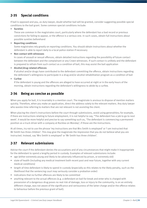#### **2-35 Special conditions**

If bail is opposed and you, as duty lawyer, doubt whether bail will be granted, consider suggesting possible special conditions to the bail grant. Some common special conditions include:

• **Sureties**

These are common in the magistrates court, particularly where the defendant has a bad record or previous convictions for failing to appear, or the offence is a serious one. In such cases, obtain full instructions about possible sureties beforehand

• **Reporting conditions**

Some magistrates rely greatly on reporting conditions. You should obtain instructions about whether the defendant is able to report daily to a local police station if necessary

• **Non-contact with witnesses**

In cases of assault or sexual offences, obtain detailed instructions regarding the possibility of future contact between the defendant and the complainant or any Crown witnesses. If such contact is unlikely and the defendant is prepared to refrain from such contact as a condition of bail, this may assist the bail application

• **Alcohol/drug-related offences**

If alcohol and/or drugs have contributed to the defendant committing the offence, obtain instructions regarding the defendant's willingness to participate in a drug and/or alcohol rehabilitation program as a condition of bail

• **Curfew**

If the defendant is young and the offences are alleged to have occurred at night or in the early hours of the morning, obtain instructions regarding the defendant's willingness to abide by a curfew.

#### **2-36 Being as concise as possible**

When you apply for bail, it is invariably in a mention court. The magistrate is anxious to dispose of mention matters quickly. Therefore, when you make an application, direct the address solely to the relevant matters. Any duty lawyer who wastes time referring to matters that are not relevant is not assisting the client.

When placing the client's instructions before the court through submissions, avoid using generalities; for example, if there are instructions relating to future employment, it is not helpful to say, "The defendant has a job to go to next week'. It would be more helpful and precise to say something such as, 'The defendant is commencing a permanent position as a truck driver with a company at Rocklea on Monday', if those are the instructions.

At all times, try not to use the phrase 'my instructions are that Mrs Smith is employed' or 'I am instructed that Mr Smith has three children'. This may give the magistrate the impression that you do not believe what you are instructed. Instead, say 'Mrs Smith is employed' or 'Mr Smith has three children'.

#### **2-37 Relevant submissions**

Advise the court if the defendant denies the accusations and of any circumstances that might make it inappropriate for the defendant to spend a lengthy period in custody. Examples of relevant submissions include:

- age (either extremely young and likely to be adversely influenced by prison, or extremely old)
- state of health (including any medical treatment both recent past and near future, together with any current medical conditions)
- length of time defendant is likely to spend in custody (especially as this relates to the likely penalty, such as the likelihood that the sentencing court may seriously consider a probation order)
- indications that no further offences are likely to be committed
- anything relevant to the actual offences (e.g. a defendant on bail for break and enter who is charged with possession of a dangerous drug poses no real risk of damage, loss or injury to the community, is on an entirely different charge, was not aware of the significance and seriousness of the latter charge and/or the offence relates to behaviour before the previous grant of bail).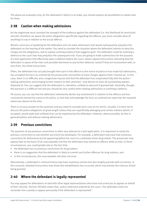The above are examples only. As the defendant's liberty is at stake, you should explore all possibilities to obtain bail for them.

#### **2-38 Caution when making admissions**

As the magistrate must consider the strength of the evidence against the defendant (i.e. the likelihood of conviction) and will, therefore, be aware the police allegations specifically regarding the offence, you must consider what (if anything) to say in relation to the actual offence.

Remain conscious of speaking for the defendant and not make admissions that would subsequently prejudice the defendant on the hearing of the matter. You need to consider the situation where the defendant intends to deny the charge and the allegations, and to explain existing evidence that suggests guilt. The defendant could be outlining a defence to the court that may prejudice the subsequent trial. If you are going to make submissions for the purpose of a bail application that effectively place a defence before the court, obtain signed instructions indicating that the defendant is aware of the risks and possible detriment to any further defences raised if they are inconsistent with, or vary from, the initial instructions.

Often, the defendant has actually brought their part in the offence to the notice of police or has made full admissions, has accepted the facts as outlined by the prosecution and wishes to have charges against them 'cleared up'. In this case, there is no difficulty and a magistrate may be told that the defendant has cooperated fully with the police making admissions and bringing further matters to their attention—and desires to have all outstanding matters disposed of. You can suggest that the defendant is, therefore, unlikely to abscond if granted bail. Generally, though, the question is a difficult one and you should be very careful when making admissions or outlining a defence.

Of course, you can say that the defendant vehemently denies any involvement in relation to the offence and has consistently denied the same to the police, or that they acknowledge the facts as outlined but state that the requisite intent was absent at the time.

There is no easy answer to this question and you need to consider each case on its merits. Usually, it is best not to discuss the police allegations at great length unless they are superficially damaging and certain matters (which, if accepted, would make bail unlikely) that can be explained by the defendant. However, where possible, do this in generalisations and without making admissions.

#### **2-39 Previous convictions**

The question of any previous convictions is often very relevant to a bail application. It is important to study the previous convictions to see whether any trend has developed. For example, a defendant may have had numerous convictions for dishonesty but be appearing before the court on a relatively minor drug matter. The prosecutor may oppose bail on the basis of an unacceptable risk that the defendant may commit an offence while on bail. In these circumstances, you could greatly rely on the fact that:

- the defendant has no previous convictions for drug matters
- there is no suggestion that the defendant is likely to commit any further offences for drug matters, and
- in the circumstances, the unacceptable risk does not exist.

Alternatively, a defendant's criminal history may have numerous entries but also lengthy periods with no entries. In this scenario, detailed instructions may show that rehabilitation has occurred, which may bolster the chances of bail being granted.

#### **2-40 Where the defendant is legally represented**

You may appear for defendants on bail with other legal representatives who have instructed you to appear on behalf of their client(s). Section 20(3AA) states that, unless otherwise ordered by the court, 'the defendant need not surrender into custody or appear personally if the defendant is represented'.